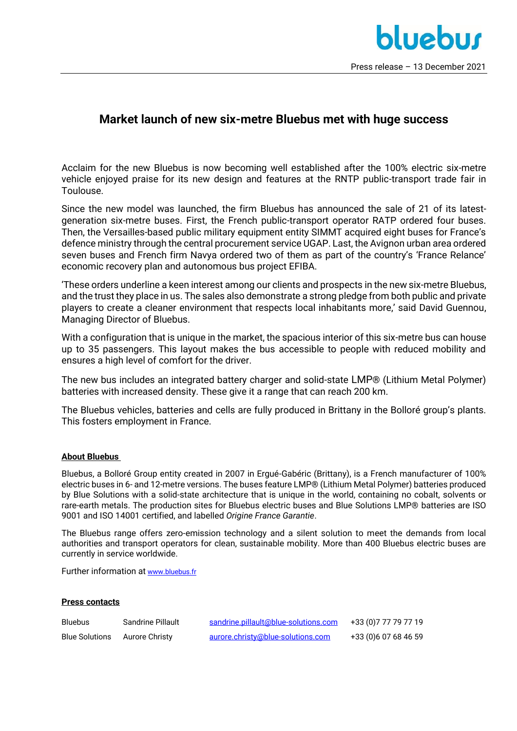## **Market launch of new six-metre Bluebus met with huge success**

Acclaim for the new Bluebus is now becoming well established after the 100% electric six-metre vehicle enjoyed praise for its new design and features at the RNTP public-transport trade fair in Toulouse.

Since the new model was launched, the firm Bluebus has announced the sale of 21 of its latestgeneration six-metre buses. First, the French public-transport operator RATP ordered four buses. Then, the Versailles-based public military equipment entity SIMMT acquired eight buses for France's defence ministry through the central procurement service UGAP. Last, the Avignon urban area ordered seven buses and French firm Navya ordered two of them as part of the country's 'France Relance' economic recovery plan and autonomous bus project EFIBA.

'These orders underline a keen interest among our clients and prospects in the new six-metre Bluebus, and the trust they place in us. The sales also demonstrate a strong pledge from both public and private players to create a cleaner environment that respects local inhabitants more,' said David Guennou, Managing Director of Bluebus.

With a configuration that is unique in the market, the spacious interior of this six-metre bus can house up to 35 passengers. This layout makes the bus accessible to people with reduced mobility and ensures a high level of comfort for the driver.

The new bus includes an integrated battery charger and solid-state LMP® (Lithium Metal Polymer) batteries with increased density. These give it a range that can reach 200 km.

The Bluebus vehicles, batteries and cells are fully produced in Brittany in the Bolloré group's plants. This fosters employment in France.

## **About Bluebus**

Bluebus, a Bolloré Group entity created in 2007 in Ergué-Gabéric (Brittany), is a French manufacturer of 100% electric buses in 6- and 12-metre versions. The buses feature LMP® (Lithium Metal Polymer) batteries produced by Blue Solutions with a solid-state architecture that is unique in the world, containing no cobalt, solvents or rare-earth metals. The production sites for Bluebus electric buses and Blue Solutions LMP® batteries are ISO 9001 and ISO 14001 certified, and labelled *Origine France Garantie*.

The Bluebus range offers zero-emission technology and a silent solution to meet the demands from local authorities and transport operators for clean, sustainable mobility. More than 400 Bluebus electric buses are currently in service worldwide.

Further information at [www.bluebus.fr](about:blank)

## **Press contacts**

| <b>Bluebus</b>        | Sandrine Pillault | sandrine.pillault@blue-solutions.com | +33 (0)7 77 79 77 19 |
|-----------------------|-------------------|--------------------------------------|----------------------|
| <b>Blue Solutions</b> | Aurore Christy    | aurore.christy@blue-solutions.com    | +33 (0)6 07 68 46 59 |